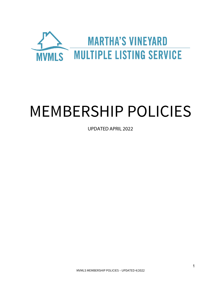

# MEMBERSHIP POLICIES

UPDATED APRIL 2022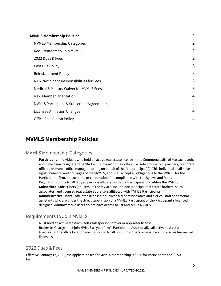| <b>MVMLS Membership Policies</b>                     |                |
|------------------------------------------------------|----------------|
| <b>MVMLS Membership Categories</b>                   | $\overline{2}$ |
| Requirements to Join MVMLS                           | $\overline{2}$ |
| 2022 Dues & Fees                                     | $\overline{2}$ |
| Past Due Policy                                      | 3              |
| <b>Reinstatement Policy</b>                          | 3              |
| MLS Participant Responsibilities for Fees            | 3              |
| Medical & Military Waiver for MVMLS Fees             | 3              |
| New Member Orientation                               | $\overline{4}$ |
| <b>MVMLS Participant &amp; Subscriber Agreements</b> | 4              |
| Licensee Affiliation Changes                         | 4              |
| <b>Office Acquisition Policy</b>                     | 4              |
|                                                      |                |

## **MVMLS Membership Policies**

#### MVMLS Membership Categories

- Participant individuals who hold an active real estate license in the Commonwealth of Massachusetts and have been designated the 'Broker in Charge' of their office (i.e. sole proprietors, partners, corporate officers or branch office managers acting on behalf of the firm principal(s)). This individual shall have all rights, benefits, and privileges of the MVMLS, and shall accept all obligations to the MVMLS for the Participant's firm, partnership, or corporation, for compliance with the Bylaws and Rules and Regulations of the MVMLS by all persons affiliated with the Participant who utilize the MVMLS.
- **Subscriber-** Subscribers (or users) of the MVMLS include non-principal real estate brokers, sales associates, and licensed real estate appraisers affiliated with MVMLS Participants.
- **Administrative Users**  Affiliated licensed or unlicensed administrative and clerical staff or personal assistants who are under the direct supervision of a MVMLS Participant or the Participant's licensed designee. Administrative users do not have access to list and sell in MVMLS.

#### Requirements to Join MVMLS

- Must hold an active Massachusetts salesperson, broker or appraiser license.
- Broker-In-Charge must join MVMLS as your firm's Participant. Additionally, all active real estate licensees at the office location must also join MVMLS as Subscribers or must be approved as fee waived licensees

### 2022 Dues & Fees

Effective January 1st, 2021, the application fee for MVMLS membership is \$300 for Participants and \$150 for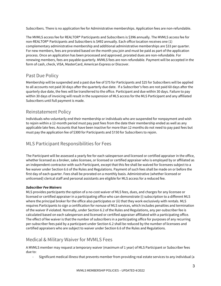Subscribers. There is no application fee for Administrative memberships. Application fees are non-refundable.

The MVMLS access fee for REALTOR® Participants and Subscribers is \$396 annually. The MVMLS access fee for non-REALTOR® Participants and Subscribers is \$492 annually. Each office location receives one (1) complementary administrative membership and additional administrative memberships are \$33 per quarter. For new members, fees are prorated based on the month you join and must be paid as part of the application process. Once an application has been processed and approved, prorated dues are non-refundable. For renewing members, fees are payable quarterly. MVMLS fees are non-refundable. Payment will be accepted in the form of cash, check, VISA, MasterCard, American Express or Discover.

### Past Due Policy

Membership will be suspended and a past due fee of \$75 for Participants and \$25 for Subscribers will be applied to all accounts not paid 30 days after the quarterly due date. If a Subscriber's fees are not paid 60 days after the quarterly due date, the fees will be transferred to the office. Participant and due within 30 days. Failure to pay within 30 days of invoicing will result in the suspension of MLS access for the MLS Participant and any affiliated Subscribers until full payment is made.

### Reinstatement Policy

Individuals who voluntarily end their membership or individuals who are suspended for nonpayment and wish to rejoin within a 12-month period must pay past fees from the date their membership ended as well as any applicable late fees. Accounts that have been inactive for more than 12 months do not need to pay past fees but must pay the application fee of \$300 for Participants and \$150 for Subscribers to rejoin.

### MLS Participant Responsibilities for Fees

The Participant will be assessed a yearly fee for each salesperson and licensed or certified appraiser in the office, whether licensed as a broker, sales licensee, or licensed or certified appraiser who is employed by or affiliated as an independent contractor with such Participant, except that this fee shall be waived for licensees subject to a fee waiver under Section 6.6 of the Rules and Regulations. Payment of such fees shall be made on or before the first day of each quarter. Fees shall be prorated on a monthly basis. Administrative (whether licensed or unlicensed) clerical staff and personal assistants are eligible for MLS access for a reduced fee.

#### *Subscriber Fee Waivers*

MLS provides participants the option of a no-cost waiver of MLS fees, dues, and charges for any licensee or licensed or certified appraiser in a participating office who can demonstrate (i) subscription to a different MLS where the principal broker for the office also participates or (ii) that they work exclusively with rentals. MLS requires Participants to sign a certification for nonuse of MLS services, which includes penalties and termination of the waiver if violated. Normally, under Section 6.2 of the Rules and Regulations, any per-subscriber fee is calculated based on each salesperson and licensed or certified appraiser affiliated with a participating office. The effect of fee waiver is that the number of subscribers in a participating office for purposes of any recurring per-subscriber fees paid by a participant under Section 6.2 shall be reduced by the number of licensees and certified appraisers who are subject to waiver under Section 6.6 of the Rules and Regulations.

### Medical & Military Waiver for MVMLS Fees

A MVMLS member may request a temporary waiver (maximum of 1 year) of MLS Participant or Subscriber fees due to:

- Significant medical illness that prevents member from providing real estate services to any individual (a